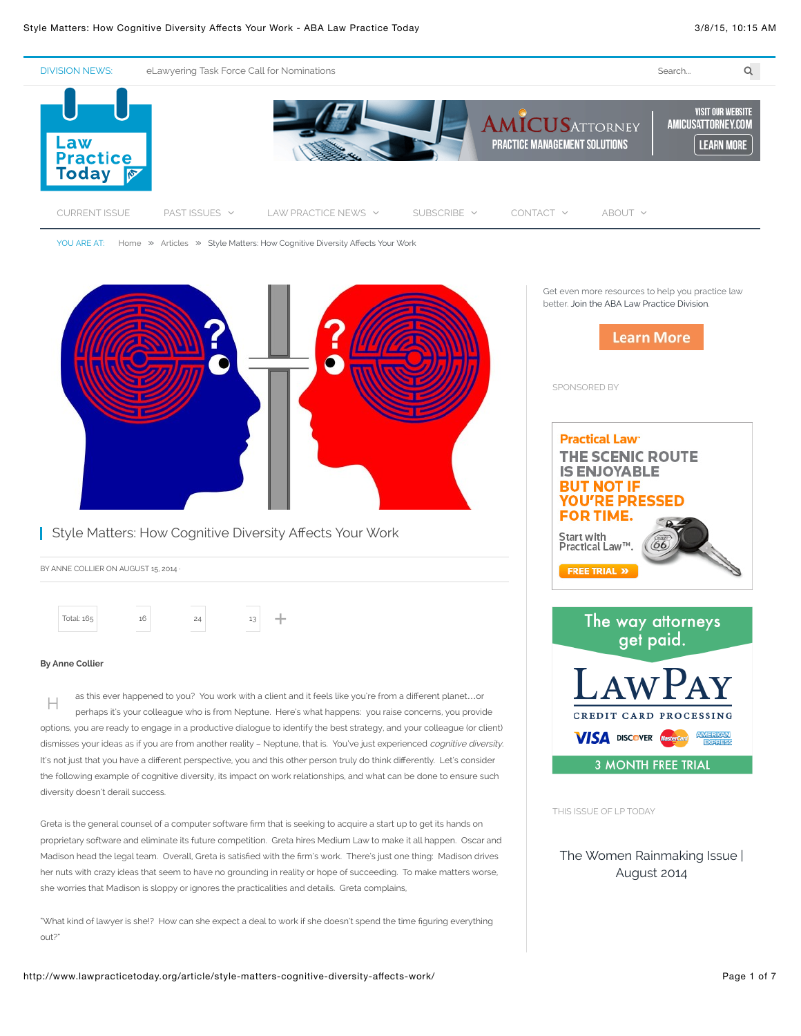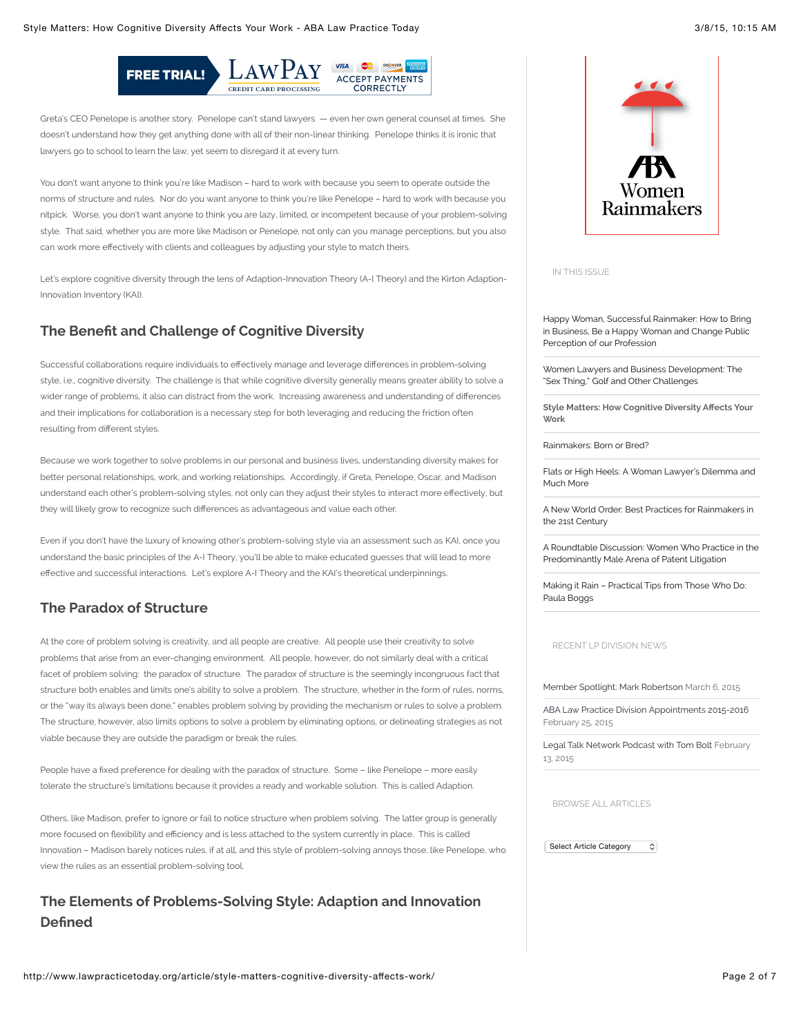

Greta's CEO Penelope is another story. Penelope can't stand lawyers — even her own general counsel at times. She doesn't understand how they get anything done with all of their non-linear thinking. Penelope thinks it is ironic that lawyers go to school to learn the law, yet seem to disregard it at every turn.

You don't want anyone to think you're like Madison – hard to work with because you seem to operate outside the norms of structure and rules. Nor do you want anyone to think you're like Penelope – hard to work with because you nitpick. Worse, you don't want anyone to think you are lazy, limited, or incompetent because of your problem-solving style. That said, whether you are more like Madison or Penelope, not only can you manage perceptions, but you also can work more effectively with clients and colleagues by adjusting your style to match theirs.

Let's explore cognitive diversity through the lens of Adaption-Innovation Theory (A-I Theory) and the Kirton Adaption-Innovation Inventory (KAI).

# **The Benefit and Challenge of Cognitive Diversity**

Successful collaborations require individuals to effectively manage and leverage differences in problem-solving style, i.e., cognitive diversity. The challenge is that while cognitive diversity generally means greater ability to solve a wider range of problems, it also can distract from the work. Increasing awareness and understanding of differences and their implications for collaboration is a necessary step for both leveraging and reducing the friction often resulting from different styles.

Because we work together to solve problems in our personal and business lives, understanding diversity makes for better personal relationships, work, and working relationships. Accordingly, if Greta, Penelope, Oscar, and Madison understand each other's problem-solving styles, not only can they adjust their styles to interact more effectively, but they will likely grow to recognize such differences as advantageous and value each other.

Even if you don't have the luxury of knowing other's problem-solving style via an assessment such as KAI, once you understand the basic principles of the A-I Theory, you'll be able to make educated guesses that will lead to more effective and successful interactions. Let's explore A-I Theory and the KAI's theoretical underpinnings.

# **The Paradox of Structure**

At the core of problem solving is creativity, and all people are creative. All people use their creativity to solve problems that arise from an ever-changing environment. All people, however, do not similarly deal with a critical facet of problem solving: the paradox of structure. The paradox of structure is the seemingly incongruous fact that structure both enables and limits one's ability to solve a problem. The structure, whether in the form of rules, norms, or the "way its always been done," enables problem solving by providing the mechanism or rules to solve a problem. The structure, however, also limits options to solve a problem by eliminating options, or delineating strategies as not viable because they are outside the paradigm or break the rules.

People have a fixed preference for dealing with the paradox of structure. Some - like Penelope - more easily tolerate the structure's limitations because it provides a ready and workable solution. This is called Adaption.

Others, like Madison, prefer to ignore or fail to notice structure when problem solving. The latter group is generally more focused on flexibility and efficiency and is less attached to the system currently in place. This is called Innovation – Madison barely notices rules, if at all, and this style of problem-solving annoys those, like Penelope, who view the rules as an essential problem-solving tool.

# **The Elements of Problems-Solving Style: Adaption and Innovation De"ned**



IN THIS ISSUE

[Happy Woman, Successful Rainmaker: How to Bring](http://www.lawpracticetoday.org/article/happy-woman-successful-rainmaker-bring-business-happy-woman-change-public-perception-profession/) in Business, Be a Happy Woman and Change Public Perception of our Profession

[Women Lawyers and Business Development: The](http://www.lawpracticetoday.org/article/women-business-development-sex-thing-golf-challenges/) "Sex Thing," Golf and Other Challenges

**[Style Matters: How Cognitive Diversity A](http://www.lawpracticetoday.org/article/style-matters-cognitive-diversity-affects-work/)!ects Your Work**

[Rainmakers: Born or Bred?](http://www.lawpracticetoday.org/article/rainmakers-born-bred/)

[Flats or High Heels: A Woman Lawyer's Dilemma and](http://www.lawpracticetoday.org/article/flats-high-heels-woman-lawyers-dilemma-much/) Much More

[A New World Order: Best Practices for Rainmakers in](http://www.lawpracticetoday.org/article/new-world-order-best-practices-rainmakers-21st-century/) the 21st Century

[A Roundtable Discussion: Women Who Practice in the](http://www.lawpracticetoday.org/article/roundtable-discussion-women-practice-predominantly-male-arena-patent-litigation/) Predominantly Male Arena of Patent Litigation

[Making it Rain – Practical Tips from Those Who Do:](http://www.lawpracticetoday.org/article/making-rain-practical-tips-paula-boggs/) Paula Boggs

RECENT LP DIVISION NEWS

[Member Spotlight: Mark Robertson](http://www.lawpracticetoday.org/2015/03/member-spotlight-mark-robertson/) March 6, 2015

[ABA Law Practice Division Appointments 2015-2016](http://www.lawpracticetoday.org/2015/02/aba-law-practice-division-appointments-2015-2016/) February 25, 2015

[Legal Talk Network Podcast with Tom Bolt](http://www.lawpracticetoday.org/2015/02/legal-talk-network-podcast-tom-bolt/) February 13, 2015

BROWSE ALL ARTICLES

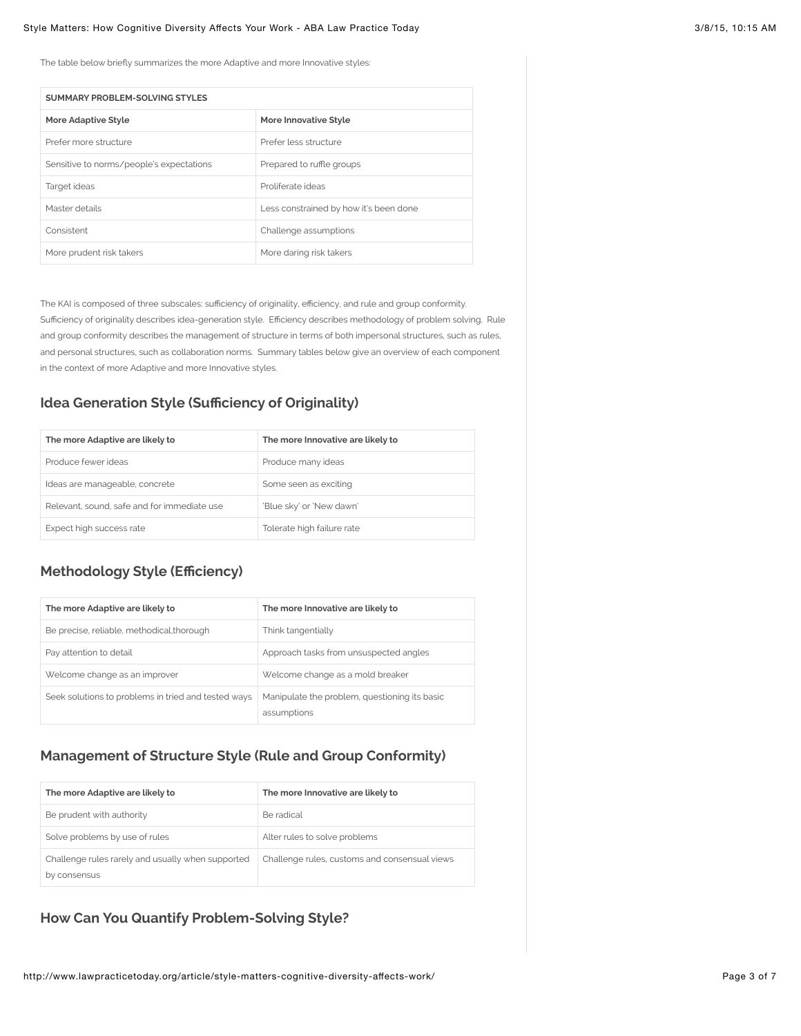The table below briefly summarizes the more Adaptive and more Innovative styles:

| SUMMARY PROBLEM-SOLVING STYLES           |                                        |  |
|------------------------------------------|----------------------------------------|--|
| More Adaptive Style                      | More Innovative Style                  |  |
| Prefer more structure                    | Prefer less structure                  |  |
| Sensitive to norms/people's expectations | Prepared to ruffle groups              |  |
| Target ideas                             | Proliferate ideas                      |  |
| Master details                           | Less constrained by how it's been done |  |
| Consistent                               | Challenge assumptions                  |  |
| More prudent risk takers                 | More daring risk takers                |  |

The KAI is composed of three subscales: sufficiency of originality, efficiency, and rule and group conformity. Sufficiency of originality describes idea-generation style. Efficiency describes methodology of problem solving. Rule and group conformity describes the management of structure in terms of both impersonal structures, such as rules, and personal structures, such as collaboration norms. Summary tables below give an overview of each component in the context of more Adaptive and more Innovative styles.

## **Idea Generation Style (Su#ciency of Originality)**

| The more Adaptive are likely to             | The more Innovative are likely to |
|---------------------------------------------|-----------------------------------|
| Produce fewer ideas                         | Produce many ideas                |
| Ideas are manageable, concrete              | Some seen as exciting             |
| Relevant, sound, safe and for immediate use | 'Blue sky' or 'New dawn'          |
| Expect high success rate                    | Tolerate high failure rate        |

## **Methodology Style (E#ciency)**

| The more Adaptive are likely to                     | The more Innovative are likely to                            |
|-----------------------------------------------------|--------------------------------------------------------------|
| Be precise, reliable, methodical, thorough          | Think tangentially                                           |
| Pay attention to detail                             | Approach tasks from unsuspected angles                       |
| Welcome change as an improver                       | Welcome change as a mold breaker                             |
| Seek solutions to problems in tried and tested ways | Manipulate the problem, questioning its basic<br>assumptions |

# **Management of Structure Style (Rule and Group Conformity)**

| The more Adaptive are likely to                                   | The more Innovative are likely to             |
|-------------------------------------------------------------------|-----------------------------------------------|
| Be prudent with authority                                         | Be radical                                    |
| Solve problems by use of rules                                    | Alter rules to solve problems                 |
| Challenge rules rarely and usually when supported<br>by consensus | Challenge rules, customs and consensual views |

## **How Can You Quantify Problem-Solving Style?**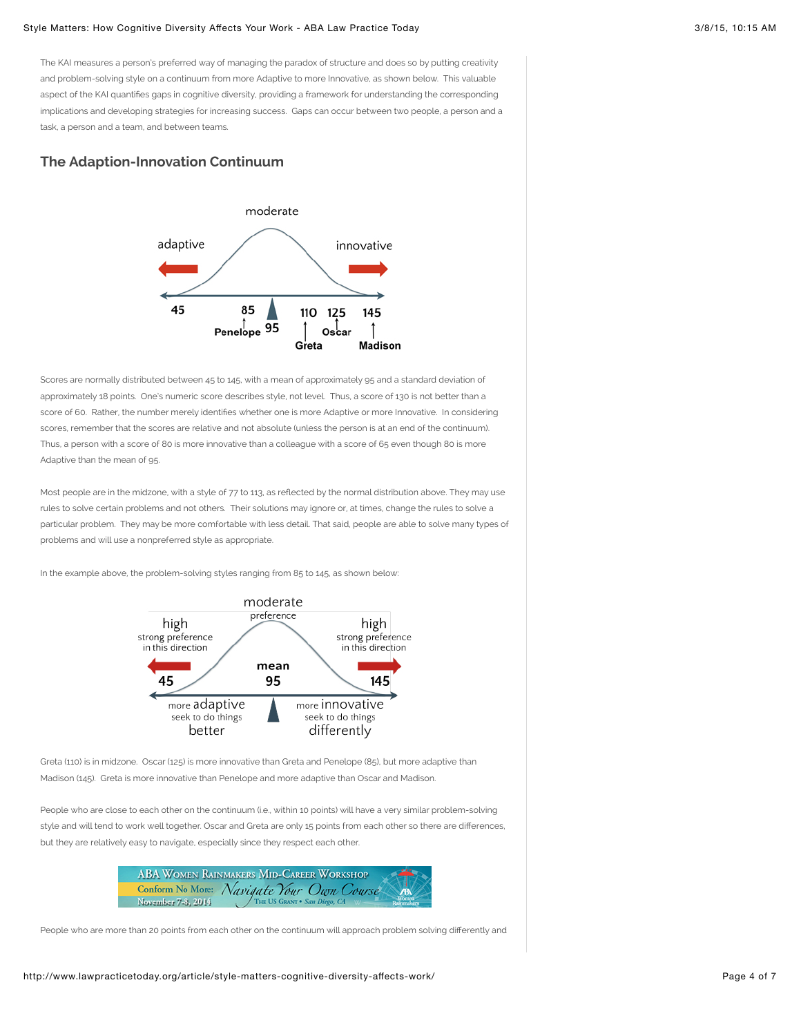The KAI measures a person's preferred way of managing the paradox of structure and does so by putting creativity and problem-solving style on a continuum from more Adaptive to more Innovative, as shown below. This valuable aspect of the KAI quantifies gaps in cognitive diversity, providing a framework for understanding the corresponding implications and developing strategies for increasing success. Gaps can occur between two people, a person and a task, a person and a team, and between teams.

### **The Adaption-Innovation Continuum**



Scores are normally distributed between 45 to 145, with a mean of approximately 95 and a standard deviation of approximately 18 points. One's numeric score describes style, not level. Thus, a score of 130 is not better than a score of 60. Rather, the number merely identifies whether one is more Adaptive or more Innovative. In considering scores, remember that the scores are relative and not absolute (unless the person is at an end of the continuum). Thus, a person with a score of 80 is more innovative than a colleague with a score of 65 even though 80 is more Adaptive than the mean of 95.

Most people are in the midzone, with a style of 77 to 113, as reflected by the normal distribution above. They may use rules to solve certain problems and not others. Their solutions may ignore or, at times, change the rules to solve a particular problem. They may be more comfortable with less detail. That said, people are able to solve many types of problems and will use a nonpreferred style as appropriate.

In the example above, the problem-solving styles ranging from 85 to 145, as shown below:



Greta (110) is in midzone. Oscar (125) is more innovative than Greta and Penelope (85), but more adaptive than Madison (145). Greta is more innovative than Penelope and more adaptive than Oscar and Madison.

People who are close to each other on the continuum (i.e., within 10 points) will have a very similar problem-solving style and will tend to work well together. Oscar and Greta are only 15 points from each other so there are differences, but they are relatively easy to navigate, especially since they respect each other.

|                         | <b>ABA WOMEN RAINMAKERS MID-CAREER WORKSHOP</b> |           |
|-------------------------|-------------------------------------------------|-----------|
| <b>Conform No More:</b> | Navigate Your Own Course                        | <b>AK</b> |
| November 7-8, 2014      |                                                 |           |

People who are more than 20 points from each other on the continuum will approach problem solving differently and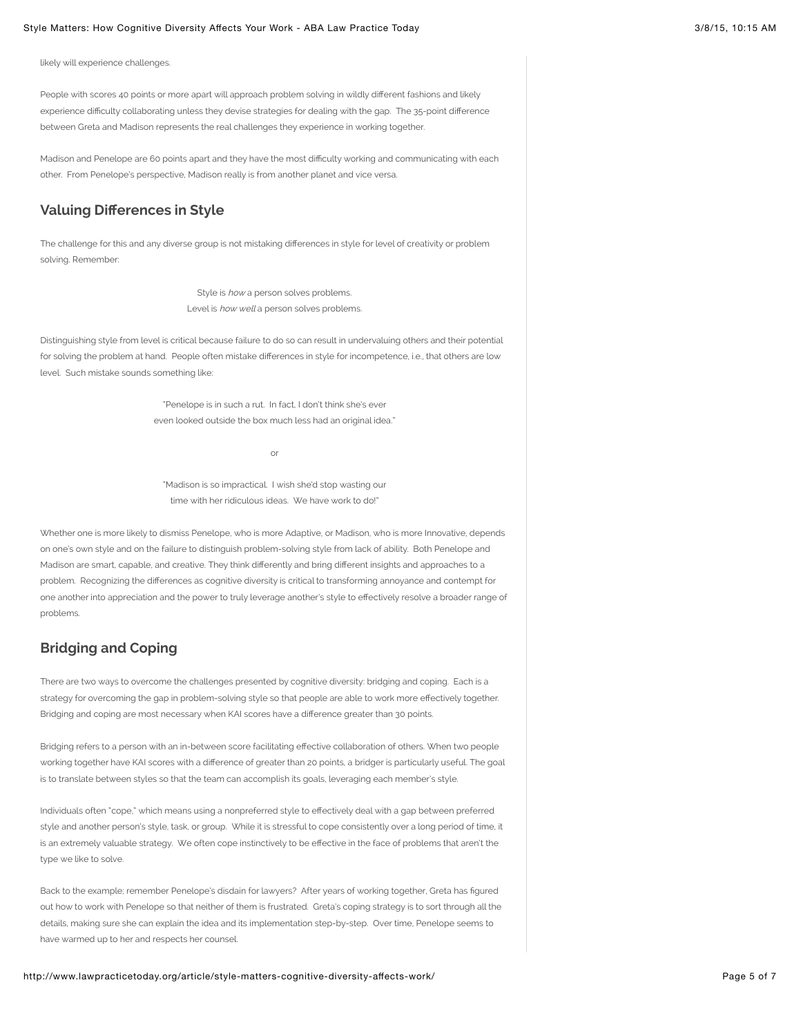likely will experience challenges.

People with scores 40 points or more apart will approach problem solving in wildly different fashions and likely experience difficulty collaborating unless they devise strategies for dealing with the gap. The 35-point difference between Greta and Madison represents the real challenges they experience in working together.

Madison and Penelope are 60 points apart and they have the most difficulty working and communicating with each other. From Penelope's perspective, Madison really is from another planet and vice versa.

## **Valuing Di!erences in Style**

The challenge for this and any diverse group is not mistaking differences in style for level of creativity or problem solving. Remember:

> Style is how a person solves problems. Level is how well a person solves problems.

Distinguishing style from level is critical because failure to do so can result in undervaluing others and their potential for solving the problem at hand. People often mistake differences in style for incompetence, i.e., that others are low level. Such mistake sounds something like:

> "Penelope is in such a rut. In fact, I don't think she's ever even looked outside the box much less had an original idea."

> > or

"Madison is so impractical. I wish she'd stop wasting our time with her ridiculous ideas. We have work to do!"

Whether one is more likely to dismiss Penelope, who is more Adaptive, or Madison, who is more Innovative, depends on one's own style and on the failure to distinguish problem-solving style from lack of ability. Both Penelope and Madison are smart, capable, and creative. They think differently and bring different insights and approaches to a problem. Recognizing the differences as cognitive diversity is critical to transforming annoyance and contempt for one another into appreciation and the power to truly leverage another's style to effectively resolve a broader range of problems.

## **Bridging and Coping**

There are two ways to overcome the challenges presented by cognitive diversity: bridging and coping. Each is a strategy for overcoming the gap in problem-solving style so that people are able to work more effectively together. Bridging and coping are most necessary when KAI scores have a difference greater than 30 points.

Bridging refers to a person with an in-between score facilitating effective collaboration of others. When two people working together have KAI scores with a difference of greater than 20 points, a bridger is particularly useful. The goal is to translate between styles so that the team can accomplish its goals, leveraging each member's style.

Individuals often "cope," which means using a nonpreferred style to effectively deal with a gap between preferred style and another person's style, task, or group. While it is stressful to cope consistently over a long period of time, it is an extremely valuable strategy. We often cope instinctively to be effective in the face of problems that aren't the type we like to solve.

Back to the example; remember Penelope's disdain for lawyers? After years of working together, Greta has figured out how to work with Penelope so that neither of them is frustrated. Greta's coping strategy is to sort through all the details, making sure she can explain the idea and its implementation step-by-step. Over time, Penelope seems to have warmed up to her and respects her counsel.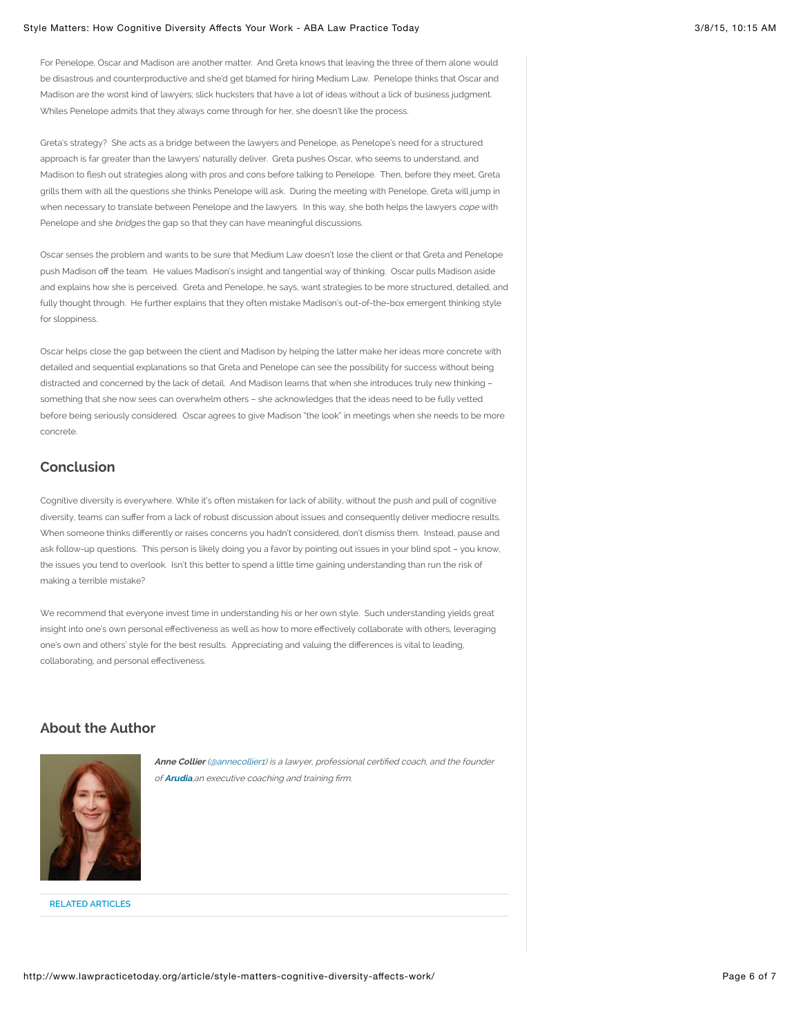For Penelope, Oscar and Madison are another matter. And Greta knows that leaving the three of them alone would be disastrous and counterproductive and she'd get blamed for hiring Medium Law. Penelope thinks that Oscar and Madison are the worst kind of lawyers; slick hucksters that have a lot of ideas without a lick of business judgment. Whiles Penelope admits that they always come through for her, she doesn't like the process.

Greta's strategy? She acts as a bridge between the lawyers and Penelope, as Penelope's need for a structured approach is far greater than the lawyers' naturally deliver. Greta pushes Oscar, who seems to understand, and Madison to flesh out strategies along with pros and cons before talking to Penelope. Then, before they meet, Greta grills them with all the questions she thinks Penelope will ask. During the meeting with Penelope, Greta will jump in when necessary to translate between Penelope and the lawyers. In this way, she both helps the lawyers cope with Penelope and she bridges the gap so that they can have meaningful discussions.

Oscar senses the problem and wants to be sure that Medium Law doesn't lose the client or that Greta and Penelope push Madison off the team. He values Madison's insight and tangential way of thinking. Oscar pulls Madison aside and explains how she is perceived. Greta and Penelope, he says, want strategies to be more structured, detailed, and fully thought through. He further explains that they often mistake Madison's out-of-the-box emergent thinking style for sloppiness.

Oscar helps close the gap between the client and Madison by helping the latter make her ideas more concrete with detailed and sequential explanations so that Greta and Penelope can see the possibility for success without being distracted and concerned by the lack of detail. And Madison learns that when she introduces truly new thinking – something that she now sees can overwhelm others – she acknowledges that the ideas need to be fully vetted before being seriously considered. Oscar agrees to give Madison "the look" in meetings when she needs to be more concrete.

### **Conclusion**

Cognitive diversity is everywhere. While it's often mistaken for lack of ability, without the push and pull of cognitive diversity, teams can suffer from a lack of robust discussion about issues and consequently deliver mediocre results. When someone thinks differently or raises concerns you hadn't considered, don't dismiss them. Instead, pause and ask follow-up questions. This person is likely doing you a favor by pointing out issues in your blind spot – you know, the issues you tend to overlook. Isn't this better to spend a little time gaining understanding than run the risk of making a terrible mistake?

We recommend that everyone invest time in understanding his or her own style. Such understanding yields great insight into one's own personal effectiveness as well as how to more effectively collaborate with others, leveraging one's own and others' style for the best results. Appreciating and valuing the differences is vital to leading, collaborating, and personal effectiveness.

### **About the Author**



Anne Collier [\(@annecollier1\)](https://twitter.com/annecollier1) is a lawyer, professional certified coach, and the founder of **[Arudia](http://www.arudia.com/)**,an executive coaching and training firm.

**RELATED ARTICLES**